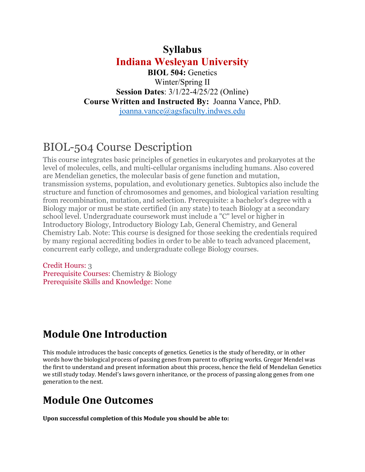#### **Syllabus**

**Indiana Wesleyan University** 

**BIOL 504:** Genetics Winter/Spring II **Session Dates**: 3/1/22-4/25/22 (Online) **Course Written and Instructed By:** Joanna Vance, PhD. joanna.vance@agsfaculty.indwes.edu

# BIOL-504 Course Description

This course integrates basic principles of genetics in eukaryotes and prokaryotes at the level of molecules, cells, and multi-cellular organisms including humans. Also covered are Mendelian genetics, the molecular basis of gene function and mutation, transmission systems, population, and evolutionary genetics. Subtopics also include the structure and function of chromosomes and genomes, and biological variation resulting from recombination, mutation, and selection. Prerequisite: a bachelor's degree with a Biology major or must be state certified (in any state) to teach Biology at a secondary school level. Undergraduate coursework must include a "C" level or higher in Introductory Biology, Introductory Biology Lab, General Chemistry, and General Chemistry Lab. Note: This course is designed for those seeking the credentials required by many regional accrediting bodies in order to be able to teach advanced placement, concurrent early college, and undergraduate college Biology courses.

Credit Hours: 3 Prerequisite Courses: Chemistry & Biology Prerequisite Skills and Knowledge: None

## **Module One Introduction**

This module introduces the basic concepts of genetics. Genetics is the study of heredity, or in other words how the biological process of passing genes from parent to offspring works. Gregor Mendel was the first to understand and present information about this process, hence the field of Mendelian Genetics we still study today. Mendel's laws govern inheritance, or the process of passing along genes from one generation to the next.

# **Module One Outcomes**

**Upon successful completion of this Module you should be able to:**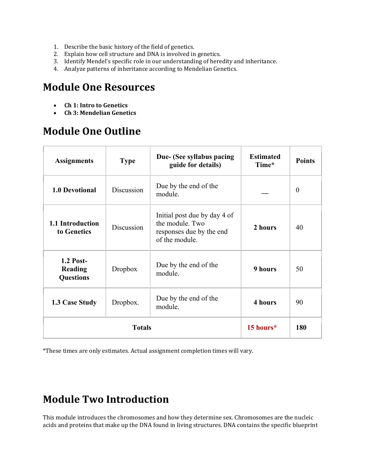- 1. Describe the basic history of the field of genetics.
- 2. Explain how cell structure and DNA is involved in genetics.
- 3. Identify Mendel's specific role in our understanding of heredity and inheritance.
- 4. Analyze patterns of inheritance according to Mendelian Genetics.

#### **Module One Resources**

- **Ch 1: Intro to Genetics**
- **Ch 3: Mendelian Genetics**

## **Module One Outline**

| <b>Assignments</b>                                     | <b>Type</b> | Due- (See syllabus pacing<br>guide for details)                                               | <b>Estimated</b><br>Time* | <b>Points</b> |
|--------------------------------------------------------|-------------|-----------------------------------------------------------------------------------------------|---------------------------|---------------|
| <b>1.0 Devotional</b>                                  | Discussion  | Due by the end of the<br>module.                                                              |                           | $\theta$      |
| 1.1 Introduction<br>to Genetics                        | Discussion  | Initial post due by day 4 of<br>the module. Two<br>responses due by the end<br>of the module. | 2 hours                   | 40            |
| <b>1.2 Post-</b><br><b>Reading</b><br><b>Questions</b> | Dropbox     | Due by the end of the<br>module.                                                              | 9 hours                   | 50            |
| 1.3 Case Study                                         | Dropbox.    | Due by the end of the<br>module.                                                              | 4 hours                   | 90            |
| <b>Totals</b>                                          |             |                                                                                               | 15 hours*                 | 180           |

\*These times are only estimates. Actual assignment completion times will vary.

## **Module Two Introduction**

This module introduces the chromosomes and how they determine sex. Chromosomes are the nucleic acids and proteins that make up the DNA found in living structures. DNA contains the specific blueprint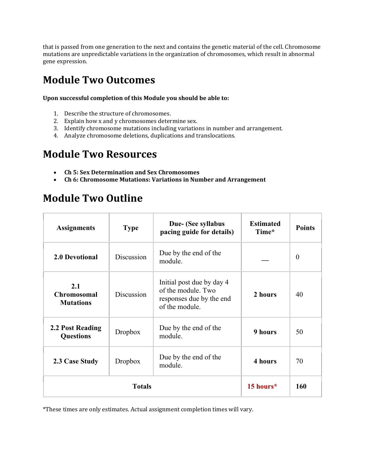that is passed from one generation to the next and contains the genetic material of the cell. Chromosome mutations are unpredictable variations in the organization of chromosomes, which result in abnormal gene expression.

## **Module Two Outcomes**

**Upon successful completion of this Module you should be able to:**

- 1. Describe the structure of chromosomes.
- 2. Explain how x and y chromosomes determine sex.
- 3. Identify chromosome mutations including variations in number and arrangement.
- 4. Analyze chromosome deletions, duplications and translocations.

## **Module Two Resources**

- **Ch 5: Sex Determination and Sex Chromosomes**
- **Ch 6: Chromosome Mutations: Variations in Number and Arrangement**

#### **Module Two Outline**

| <b>Assignments</b>                            | <b>Type</b> | Due- (See syllabus<br>pacing guide for details)                                               | <b>Estimated</b><br>Time* | <b>Points</b>    |
|-----------------------------------------------|-------------|-----------------------------------------------------------------------------------------------|---------------------------|------------------|
| <b>2.0 Devotional</b>                         | Discussion  | Due by the end of the<br>module.                                                              |                           | $\boldsymbol{0}$ |
| 2.1<br><b>Chromosomal</b><br><b>Mutations</b> | Discussion  | Initial post due by day 4<br>of the module. Two<br>responses due by the end<br>of the module. | 2 hours                   | 40               |
| 2.2 Post Reading<br><b>Questions</b>          | Dropbox     | Due by the end of the<br>module.                                                              | 9 hours                   | 50               |
| 2.3 Case Study                                | Dropbox     | Due by the end of the<br>module.                                                              | 4 hours                   | 70               |
| <b>Totals</b>                                 |             |                                                                                               | 15 hours*                 | 160              |

\*These times are only estimates. Actual assignment completion times will vary.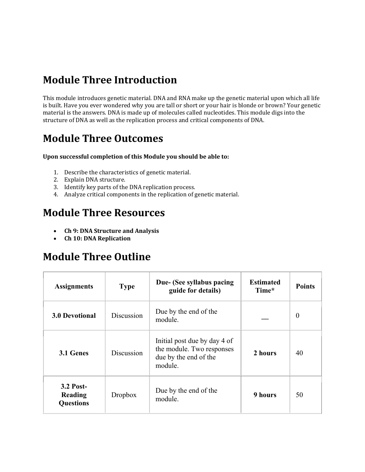## **Module Three Introduction**

This module introduces genetic material. DNA and RNA make up the genetic material upon which all life is built. Have you ever wondered why you are tall or short or your hair is blonde or brown? Your genetic material is the answers. DNA is made up of molecules called nucleotides. This module digs into the structure of DNA as well as the replication process and critical components of DNA.

## **Module Three Outcomes**

#### **Upon successful completion of this Module you should be able to:**

- 1. Describe the characteristics of genetic material.
- 2. Explain DNA structure.
- 3. Identify key parts of the DNA replication process.
- 4. Analyze critical components in the replication of genetic material.

#### **Module Three Resources**

- **Ch 9: DNA Structure and Analysis**
- **Ch 10: DNA Replication**

#### **Module Three Outline**

| <b>Assignments</b>                       | <b>Type</b> | Due- (See syllabus pacing<br>guide for details)                                               | <b>Estimated</b><br>Time* | <b>Points</b>  |
|------------------------------------------|-------------|-----------------------------------------------------------------------------------------------|---------------------------|----------------|
| <b>3.0 Devotional</b>                    | Discussion  | Due by the end of the<br>module.                                                              |                           | $\overline{0}$ |
| 3.1 Genes                                | Discussion  | Initial post due by day 4 of<br>the module. Two responses<br>due by the end of the<br>module. | 2 hours                   | 40             |
| 3.2 Post-<br>Reading<br><b>Questions</b> | Dropbox     | Due by the end of the<br>module.                                                              | 9 hours                   | 50             |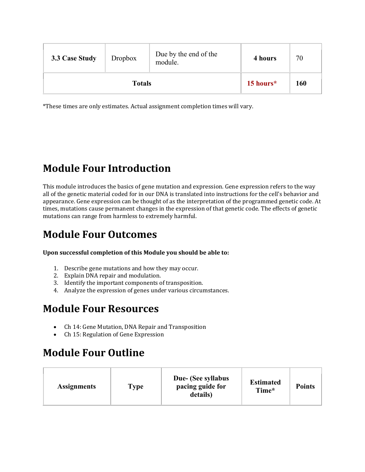| 3.3 Case Study | Dropbox | Due by the end of the<br>module. | 4 hours   | 70  |
|----------------|---------|----------------------------------|-----------|-----|
| <b>Totals</b>  |         |                                  | 15 hours* | 160 |

# **Module Four Introduction**

This module introduces the basics of gene mutation and expression. Gene expression refers to the way all of the genetic material coded for in our DNA is translated into instructions for the cell's behavior and appearance. Gene expression can be thought of as the interpretation of the programmed genetic code. At times, mutations cause permanent changes in the expression of that genetic code. The effects of genetic mutations can range from harmless to extremely harmful.

# **Module Four Outcomes**

#### **Upon successful completion of this Module you should be able to:**

- 1. Describe gene mutations and how they may occur.
- 2. Explain DNA repair and modulation.
- 3. Identify the important components of transposition.
- 4. Analyze the expression of genes under various circumstances.

#### **Module Four Resources**

- Ch 14: Gene Mutation, DNA Repair and Transposition
- Ch 15: Regulation of Gene Expression

# **Module Four Outline**

| <b>Assignments</b> | <b>Type</b> | Due- (See syllabus<br>pacing guide for<br>details) | <b>Estimated</b><br>Time* | <b>Points</b> |  |
|--------------------|-------------|----------------------------------------------------|---------------------------|---------------|--|
|--------------------|-------------|----------------------------------------------------|---------------------------|---------------|--|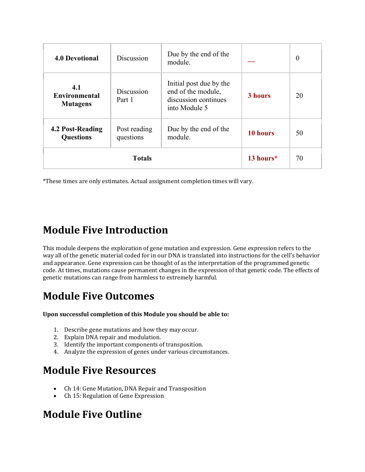| <b>4.0 Devotional</b>                          | Discussion                | Due by the end of the<br>module.                                                       |           | $\boldsymbol{0}$ |
|------------------------------------------------|---------------------------|----------------------------------------------------------------------------------------|-----------|------------------|
| 4.1<br><b>Environmental</b><br><b>Mutagens</b> | Discussion<br>Part 1      | Initial post due by the<br>end of the module,<br>discussion continues<br>into Module 5 | 3 hours   | 20               |
| 4.2 Post-Reading<br><b>Questions</b>           | Post reading<br>questions | Due by the end of the<br>module.                                                       | 10 hours  | 50               |
| <b>Totals</b>                                  |                           |                                                                                        | 13 hours* | 70               |

## **Module Five Introduction**

This module deepens the exploration of gene mutation and expression. Gene expression refers to the way all of the genetic material coded for in our DNA is translated into instructions for the cell's behavior and appearance. Gene expression can be thought of as the interpretation of the programmed genetic code. At times, mutations cause permanent changes in the expression of that genetic code. The effects of genetic mutations can range from harmless to extremely harmful.

## **Module Five Outcomes**

**Upon successful completion of this Module you should be able to:**

- 1. Describe gene mutations and how they may occur.
- 2. Explain DNA repair and modulation.
- 3. Identify the important components of transposition.
- 4. Analyze the expression of genes under various circumstances.

## **Module Five Resources**

- Ch 14: Gene Mutation, DNA Repair and Transposition
- Ch 15: Regulation of Gene Expression

#### **Module Five Outline**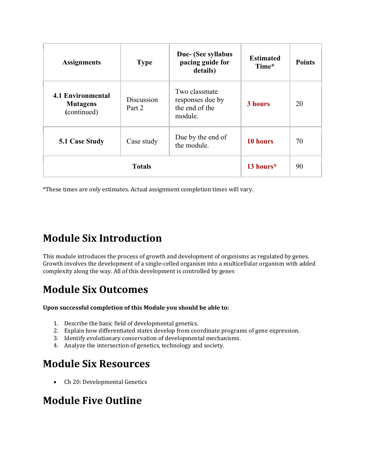| <b>Assignments</b>                                  | <b>Type</b>          | Due- (See syllabus<br>pacing guide for<br>details)             | <b>Estimated</b><br>Time* | <b>Points</b> |
|-----------------------------------------------------|----------------------|----------------------------------------------------------------|---------------------------|---------------|
| 4.1 Environmental<br><b>Mutagens</b><br>(continued) | Discussion<br>Part 2 | Two classmate<br>responses due by<br>the end of the<br>module. | 3 hours                   | 20            |
| <b>5.1 Case Study</b>                               | Case study           | Due by the end of<br>the module.                               | 10 hours                  | 70            |
| <b>Totals</b>                                       |                      |                                                                | 13 hours*                 | 90            |

# **Module Six Introduction**

This module introduces the process of growth and development of organisms as regulated by genes. Growth involves the development of a single-celled organism into a multicellular organism with added complexity along the way. All of this development is controlled by genes

# **Module Six Outcomes**

#### **Upon successful completion of this Module you should be able to:**

- 1. Describe the basic field of developmental genetics.
- 2. Explain how differentiated states develop from coordinate programs of gene expression.
- 3. Identify evolutionary conservation of developmental mechanisms.
- 4. Analyze the intersection of genetics, technology and society.

## **Module Six Resources**

• Ch 20: Developmental Genetics

## **Module Five Outline**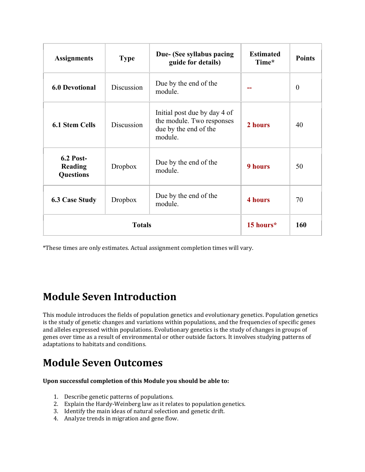| <b>Assignments</b>                              | <b>Type</b> | Due- (See syllabus pacing<br>guide for details)                                               | <b>Estimated</b><br>Time* | <b>Points</b> |
|-------------------------------------------------|-------------|-----------------------------------------------------------------------------------------------|---------------------------|---------------|
| <b>6.0 Devotional</b>                           | Discussion  | Due by the end of the<br>module.                                                              |                           | $\theta$      |
| <b>6.1 Stem Cells</b>                           | Discussion  | Initial post due by day 4 of<br>the module. Two responses<br>due by the end of the<br>module. | 2 hours                   | 40            |
| <b>6.2 Post-</b><br>Reading<br><b>Questions</b> | Dropbox     | Due by the end of the<br>module.                                                              | <b>9 hours</b>            | 50            |
| <b>6.3 Case Study</b>                           | Dropbox     | Due by the end of the<br>module.                                                              | <b>4 hours</b>            | 70            |
| <b>Totals</b>                                   |             |                                                                                               | 15 hours*                 | 160           |

# **Module Seven Introduction**

This module introduces the fields of population genetics and evolutionary genetics. Population genetics is the study of genetic changes and variations within populations, and the frequencies of specific genes and alleles expressed within populations. Evolutionary genetics is the study of changes in groups of genes over time as a result of environmental or other outside factors. It involves studying patterns of adaptations to habitats and conditions.

# **Module Seven Outcomes**

#### **Upon successful completion of this Module you should be able to:**

- 1. Describe genetic patterns of populations.
- 2. Explain the Hardy-Weinberg law as it relates to population genetics.
- 3. Identify the main ideas of natural selection and genetic drift.
- 4. Analyze trends in migration and gene flow.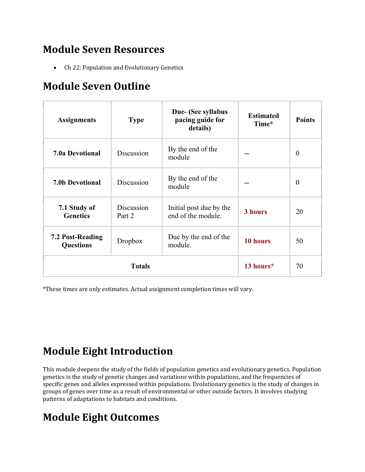## **Module Seven Resources**

• Ch 22: Population and Evolutionary Genetics

## **Module Seven Outline**

| <b>Assignments</b>                   | <b>Type</b>          | Due- (See syllabus<br>pacing guide for<br>details) | <b>Estimated</b><br>Time* | <b>Points</b>    |
|--------------------------------------|----------------------|----------------------------------------------------|---------------------------|------------------|
| <b>7.0a Devotional</b>               | Discussion           | By the end of the<br>module                        |                           | $\boldsymbol{0}$ |
| <b>7.0b Devotional</b>               | Discussion           | By the end of the<br>module                        |                           | $\theta$         |
| 7.1 Study of<br><b>Genetics</b>      | Discussion<br>Part 2 | Initial post due by the<br>end of the module.      | 3 hours                   | 20               |
| 7.2 Post-Reading<br><b>Questions</b> | Dropbox              | Due by the end of the<br>module.                   | 10 hours                  | 50               |
| <b>Totals</b>                        |                      |                                                    | 13 hours*                 | 70               |

\*These times are only estimates. Actual assignment completion times will vary.

# **Module Eight Introduction**

This module deepens the study of the fields of population genetics and evolutionary genetics. Population genetics is the study of genetic changes and variations within populations, and the frequencies of specific genes and alleles expressed within populations. Evolutionary genetics is the study of changes in groups of genes over time as a result of environmental or other outside factors. It involves studying patterns of adaptations to habitats and conditions.

# **Module Eight Outcomes**